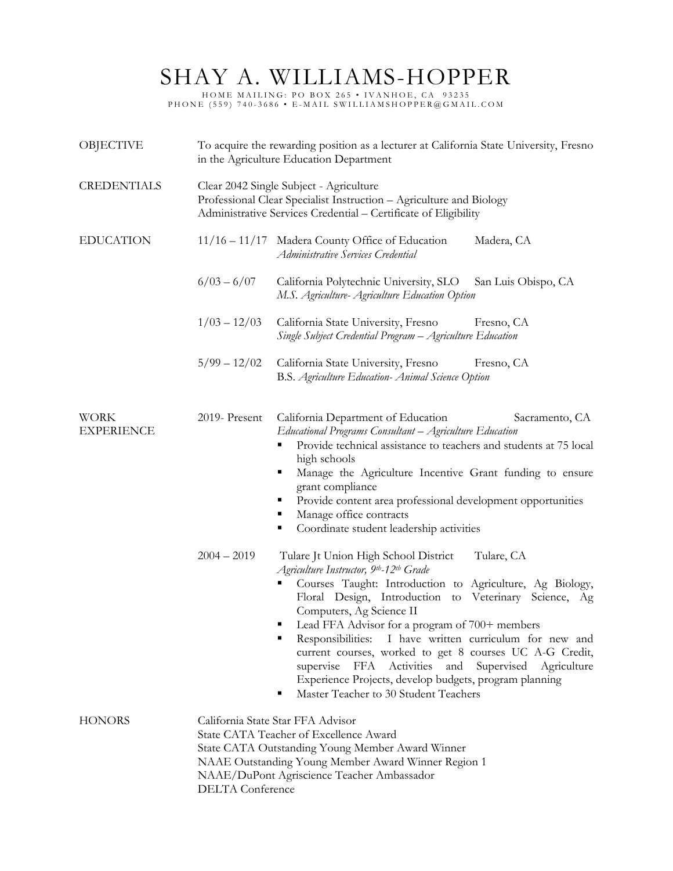## SHAY A. WILLIAMS-HOPPER

HOME MAILING: PO BOX 265 • IVANHOE, CA 93235 PHONE (559) 740-3686 • E-MAIL SWILLIAMSHOPPER@GMAIL.COM

| OBJECTIVE                        | To acquire the rewarding position as a lecturer at California State University, Fresno<br>in the Agriculture Education Department                                                                                                                               |                                                                                                                                                                                                                                                                                                                                                                                                                                                                                                                                                                                       |  |
|----------------------------------|-----------------------------------------------------------------------------------------------------------------------------------------------------------------------------------------------------------------------------------------------------------------|---------------------------------------------------------------------------------------------------------------------------------------------------------------------------------------------------------------------------------------------------------------------------------------------------------------------------------------------------------------------------------------------------------------------------------------------------------------------------------------------------------------------------------------------------------------------------------------|--|
| <b>CREDENTIALS</b>               | Clear 2042 Single Subject - Agriculture<br>Professional Clear Specialist Instruction - Agriculture and Biology<br>Administrative Services Credential - Certificate of Eligibility                                                                               |                                                                                                                                                                                                                                                                                                                                                                                                                                                                                                                                                                                       |  |
| <b>EDUCATION</b>                 |                                                                                                                                                                                                                                                                 | 11/16 - 11/17 Madera County Office of Education<br>Madera, CA<br>Administrative Services Credential                                                                                                                                                                                                                                                                                                                                                                                                                                                                                   |  |
|                                  | $6/03 - 6/07$                                                                                                                                                                                                                                                   | California Polytechnic University, SLO<br>San Luis Obispo, CA<br>M.S. Agriculture-Agriculture Education Option                                                                                                                                                                                                                                                                                                                                                                                                                                                                        |  |
|                                  | $1/03 - 12/03$                                                                                                                                                                                                                                                  | California State University, Fresno<br>Fresno, CA<br>Single Subject Credential Program - Agriculture Education                                                                                                                                                                                                                                                                                                                                                                                                                                                                        |  |
|                                  | $5/99 - 12/02$                                                                                                                                                                                                                                                  | California State University, Fresno<br>Fresno, CA<br>B.S. Agriculture Education- Animal Science Option                                                                                                                                                                                                                                                                                                                                                                                                                                                                                |  |
| <b>WORK</b><br><b>EXPERIENCE</b> | 2019- Present                                                                                                                                                                                                                                                   | California Department of Education<br>Sacramento, CA<br>Educational Programs Consultant - Agriculture Education<br>Provide technical assistance to teachers and students at 75 local<br>٠<br>high schools<br>Manage the Agriculture Incentive Grant funding to ensure<br>٠<br>grant compliance<br>Provide content area professional development opportunities<br>٠<br>Manage office contracts<br>п<br>Coordinate student leadership activities<br>٠                                                                                                                                   |  |
|                                  | $2004 - 2019$                                                                                                                                                                                                                                                   | Tulare Jt Union High School District<br>Tulare, CA<br>Agriculture Instructor, 9th-12th Grade<br>Courses Taught: Introduction to Agriculture, Ag Biology,<br>Floral Design, Introduction to Veterinary Science, Ag<br>Computers, Ag Science II<br>Lead FFA Advisor for a program of 700+ members<br>Responsibilities: I have written curriculum for new and<br>current courses, worked to get 8 courses UC A-G Credit,<br>FFA<br>Activities and Supervised Agriculture<br>supervise<br>Experience Projects, develop budgets, program planning<br>Master Teacher to 30 Student Teachers |  |
| <b>HONORS</b>                    | California State Star FFA Advisor<br>State CATA Teacher of Excellence Award<br>State CATA Outstanding Young Member Award Winner<br>NAAE Outstanding Young Member Award Winner Region 1<br>NAAE/DuPont Agriscience Teacher Ambassador<br><b>DELTA</b> Conference |                                                                                                                                                                                                                                                                                                                                                                                                                                                                                                                                                                                       |  |